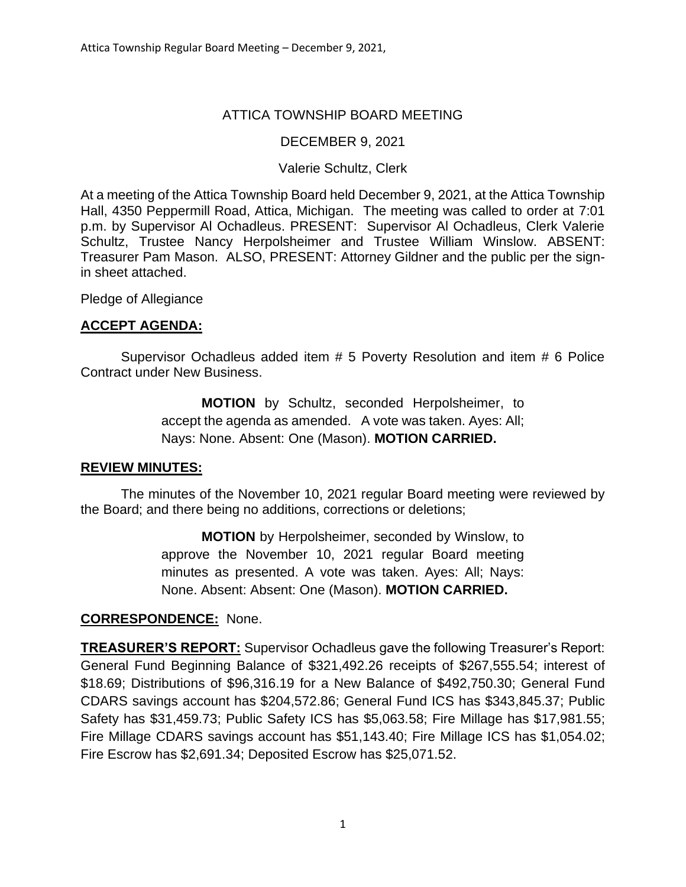### ATTICA TOWNSHIP BOARD MEETING

#### DECEMBER 9, 2021

#### Valerie Schultz, Clerk

At a meeting of the Attica Township Board held December 9, 2021, at the Attica Township Hall, 4350 Peppermill Road, Attica, Michigan. The meeting was called to order at 7:01 p.m. by Supervisor Al Ochadleus. PRESENT: Supervisor Al Ochadleus, Clerk Valerie Schultz, Trustee Nancy Herpolsheimer and Trustee William Winslow. ABSENT: Treasurer Pam Mason. ALSO, PRESENT: Attorney Gildner and the public per the signin sheet attached.

Pledge of Allegiance

## **ACCEPT AGENDA:**

Supervisor Ochadleus added item # 5 Poverty Resolution and item # 6 Police Contract under New Business.

> **MOTION** by Schultz, seconded Herpolsheimer, to accept the agenda as amended. A vote was taken. Ayes: All; Nays: None. Absent: One (Mason). **MOTION CARRIED.**

#### **REVIEW MINUTES:**

The minutes of the November 10, 2021 regular Board meeting were reviewed by the Board; and there being no additions, corrections or deletions;

> **MOTION** by Herpolsheimer, seconded by Winslow, to approve the November 10, 2021 regular Board meeting minutes as presented. A vote was taken. Ayes: All; Nays: None. Absent: Absent: One (Mason). **MOTION CARRIED.**

### **CORRESPONDENCE:** None.

**TREASURER'S REPORT:** Supervisor Ochadleus gave the following Treasurer's Report: General Fund Beginning Balance of \$321,492.26 receipts of \$267,555.54; interest of \$18.69; Distributions of \$96,316.19 for a New Balance of \$492,750.30; General Fund CDARS savings account has \$204,572.86; General Fund ICS has \$343,845.37; Public Safety has \$31,459.73; Public Safety ICS has \$5,063.58; Fire Millage has \$17,981.55; Fire Millage CDARS savings account has \$51,143.40; Fire Millage ICS has \$1,054.02; Fire Escrow has \$2,691.34; Deposited Escrow has \$25,071.52.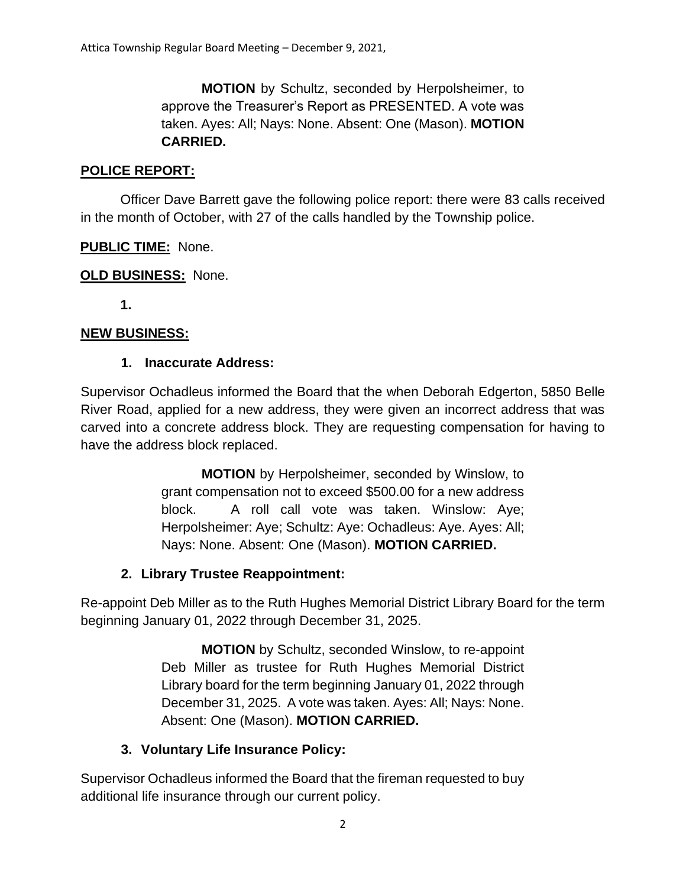**MOTION** by Schultz, seconded by Herpolsheimer, to approve the Treasurer's Report as PRESENTED. A vote was taken. Ayes: All; Nays: None. Absent: One (Mason). **MOTION CARRIED.**

### **POLICE REPORT:**

Officer Dave Barrett gave the following police report: there were 83 calls received in the month of October, with 27 of the calls handled by the Township police.

## **PUBLIC TIME:** None.

### **OLD BUSINESS:** None.

**1.**

### **NEW BUSINESS:**

## **1. Inaccurate Address:**

Supervisor Ochadleus informed the Board that the when Deborah Edgerton, 5850 Belle River Road, applied for a new address, they were given an incorrect address that was carved into a concrete address block. They are requesting compensation for having to have the address block replaced.

> **MOTION** by Herpolsheimer, seconded by Winslow, to grant compensation not to exceed \$500.00 for a new address block. A roll call vote was taken. Winslow: Aye; Herpolsheimer: Aye; Schultz: Aye: Ochadleus: Aye. Ayes: All; Nays: None. Absent: One (Mason). **MOTION CARRIED.**

### **2. Library Trustee Reappointment:**

Re-appoint Deb Miller as to the Ruth Hughes Memorial District Library Board for the term beginning January 01, 2022 through December 31, 2025.

> **MOTION** by Schultz, seconded Winslow, to re-appoint Deb Miller as trustee for Ruth Hughes Memorial District Library board for the term beginning January 01, 2022 through December 31, 2025. A vote was taken. Ayes: All; Nays: None. Absent: One (Mason). **MOTION CARRIED.**

# **3. Voluntary Life Insurance Policy:**

Supervisor Ochadleus informed the Board that the fireman requested to buy additional life insurance through our current policy.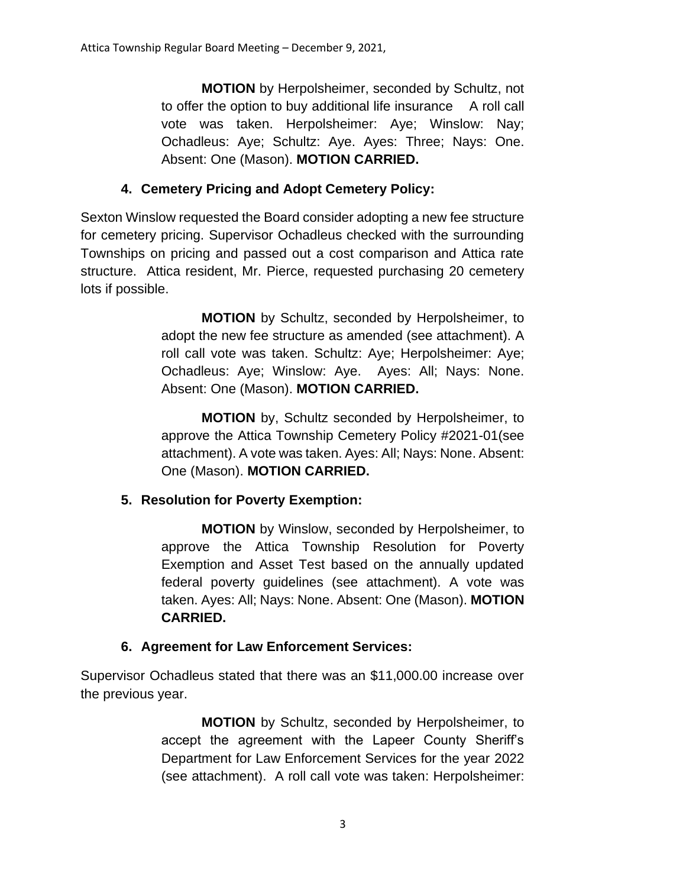**MOTION** by Herpolsheimer, seconded by Schultz, not to offer the option to buy additional life insurance A roll call vote was taken. Herpolsheimer: Aye; Winslow: Nay; Ochadleus: Aye; Schultz: Aye. Ayes: Three; Nays: One. Absent: One (Mason). **MOTION CARRIED.**

# **4. Cemetery Pricing and Adopt Cemetery Policy:**

Sexton Winslow requested the Board consider adopting a new fee structure for cemetery pricing. Supervisor Ochadleus checked with the surrounding Townships on pricing and passed out a cost comparison and Attica rate structure. Attica resident, Mr. Pierce, requested purchasing 20 cemetery lots if possible.

> **MOTION** by Schultz, seconded by Herpolsheimer, to adopt the new fee structure as amended (see attachment). A roll call vote was taken. Schultz: Aye; Herpolsheimer: Aye; Ochadleus: Aye; Winslow: Aye. Ayes: All; Nays: None. Absent: One (Mason). **MOTION CARRIED.**

> **MOTION** by, Schultz seconded by Herpolsheimer, to approve the Attica Township Cemetery Policy #2021-01(see attachment). A vote was taken. Ayes: All; Nays: None. Absent: One (Mason). **MOTION CARRIED.**

# **5. Resolution for Poverty Exemption:**

**MOTION** by Winslow, seconded by Herpolsheimer, to approve the Attica Township Resolution for Poverty Exemption and Asset Test based on the annually updated federal poverty guidelines (see attachment). A vote was taken. Ayes: All; Nays: None. Absent: One (Mason). **MOTION CARRIED.**

# **6. Agreement for Law Enforcement Services:**

Supervisor Ochadleus stated that there was an \$11,000.00 increase over the previous year.

> **MOTION** by Schultz, seconded by Herpolsheimer, to accept the agreement with the Lapeer County Sheriff's Department for Law Enforcement Services for the year 2022 (see attachment). A roll call vote was taken: Herpolsheimer: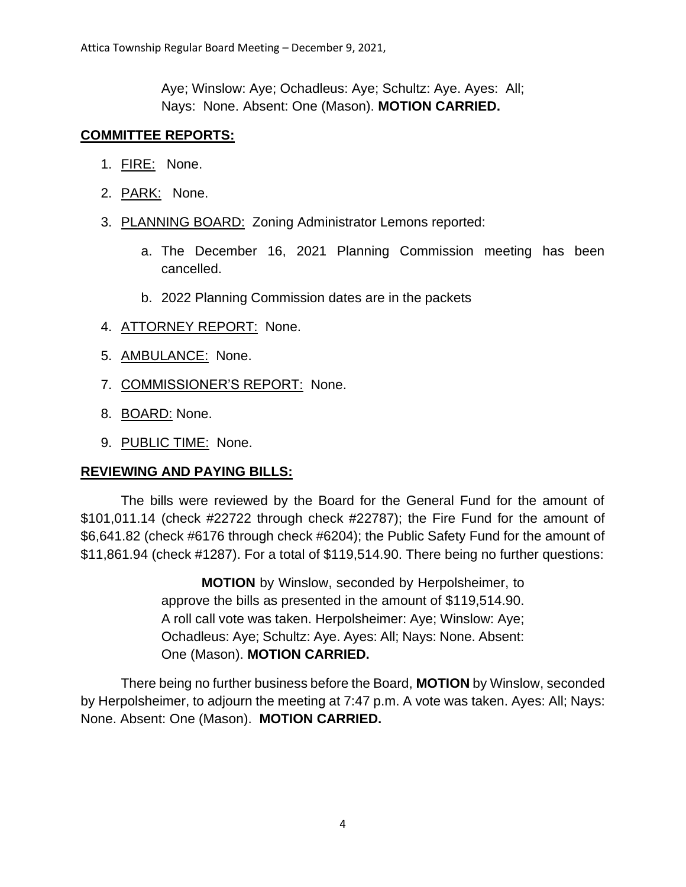Aye; Winslow: Aye; Ochadleus: Aye; Schultz: Aye. Ayes: All; Nays: None. Absent: One (Mason). **MOTION CARRIED.**

#### **COMMITTEE REPORTS:**

- 1. FIRE: None.
- 2. PARK: None.
- 3. PLANNING BOARD: Zoning Administrator Lemons reported:
	- a. The December 16, 2021 Planning Commission meeting has been cancelled.
	- b. 2022 Planning Commission dates are in the packets
- 4. ATTORNEY REPORT: None.
- 5. AMBULANCE: None.
- 7. COMMISSIONER'S REPORT: None.
- 8. BOARD: None.
- 9. PUBLIC TIME: None.

#### **REVIEWING AND PAYING BILLS:**

The bills were reviewed by the Board for the General Fund for the amount of \$101,011.14 (check #22722 through check #22787); the Fire Fund for the amount of \$6,641.82 (check #6176 through check #6204); the Public Safety Fund for the amount of \$11,861.94 (check #1287). For a total of \$119,514.90. There being no further questions:

> **MOTION** by Winslow, seconded by Herpolsheimer, to approve the bills as presented in the amount of \$119,514.90. A roll call vote was taken. Herpolsheimer: Aye; Winslow: Aye; Ochadleus: Aye; Schultz: Aye. Ayes: All; Nays: None. Absent: One (Mason). **MOTION CARRIED.**

There being no further business before the Board, **MOTION** by Winslow, seconded by Herpolsheimer, to adjourn the meeting at 7:47 p.m. A vote was taken. Ayes: All; Nays: None. Absent: One (Mason). **MOTION CARRIED.**